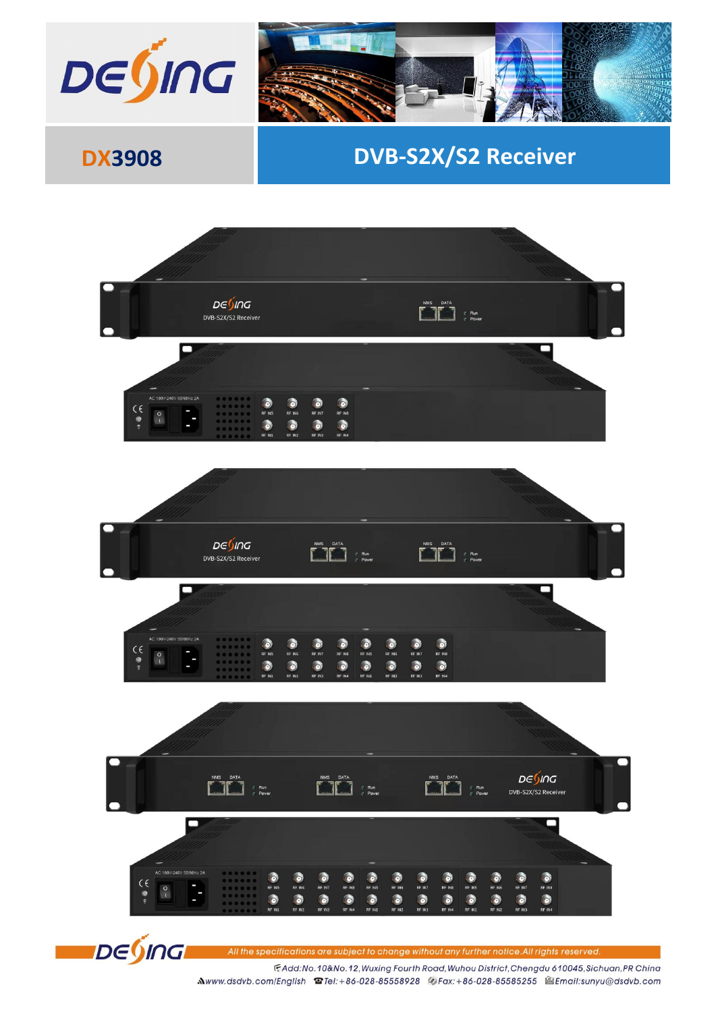

## **DX3908 DVB-S2X/S2 Receiver**



All the specifications are subject to change without any further notice.All rights reserved.

FAdd:No.10&No.12, Wuxing Fourth Road, Wuhou District, Chengdu 610045, Sichuan, PR China Mwww.dsdvb.com/English @Tel:+86-028-85558928 @Fax:+86-028-85585255 @Email:sunyu@dsdvb.com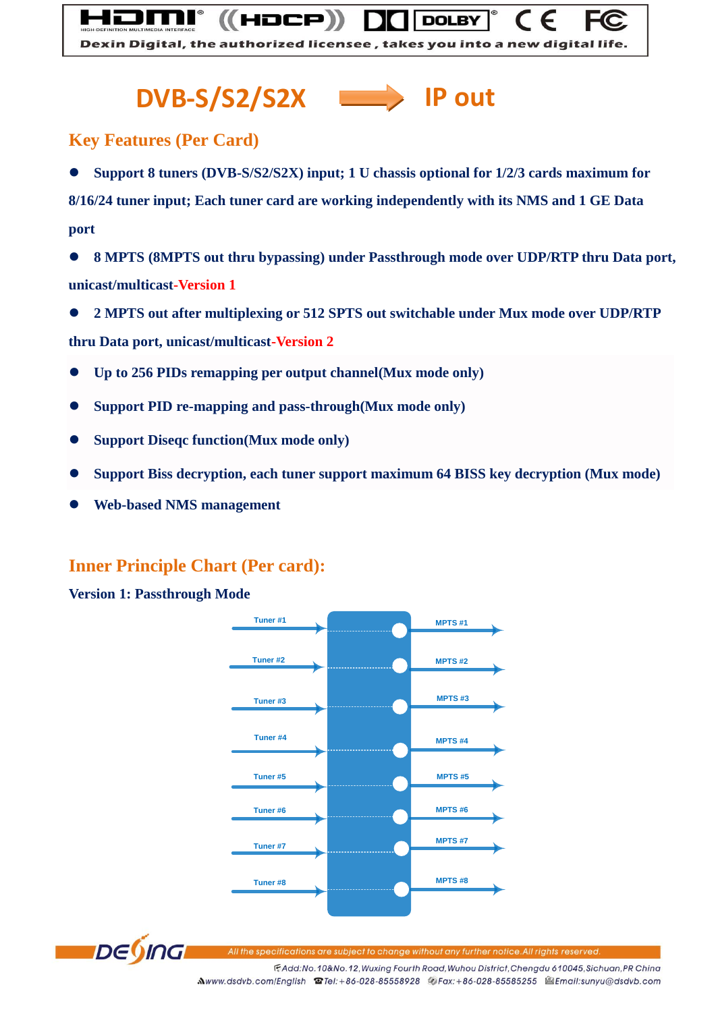# **DVB-S/S2/S2X IP out**

HDCP)

#### **Key Features (Per Card)**

 **Support 8 tuners (DVB-S/S2/S2X) input; 1 U chassis optional for 1/2/3 cards maximum for 8/16/24 tuner input; Each tuner card are working independently with its NMS and 1 GE Data port** 

Dexin Digital, the authorized licensee, takes you into a new digital life.

**DOLBY** 

 **8 MPTS (8MPTS out thru bypassing) under Passthrough mode over UDP/RTP thru Data port, unicast/multicast-Version 1** 

**2 MPTS out after multiplexing or 512 SPTS out switchable under Mux mode over UDP/RTP** 

**thru Data port, unicast/multicast-Version 2**

- **Up to 256 PIDs remapping per output channel(Mux mode only)**
- **Support PID re-mapping and pass-through(Mux mode only)**
- **Support Diseqc function(Mux mode only)**
- **Support Biss decryption, each tuner support maximum 64 BISS key decryption (Mux mode)**
- **Web-based NMS management**

### **Inner Principle Chart (Per card):**

#### **Version 1: Passthrough Mode**





specifications are subject to change without any further notice.All rights reserved

FAdd:No.10&No.12, Wuxing Fourth Road, Wuhou District, Chengdu 610045, Sichuan, PR China Mwww.dsdvb.com/English @Tel:+86-028-85558928 @Fax:+86-028-85585255 @Email:sunyu@dsdvb.com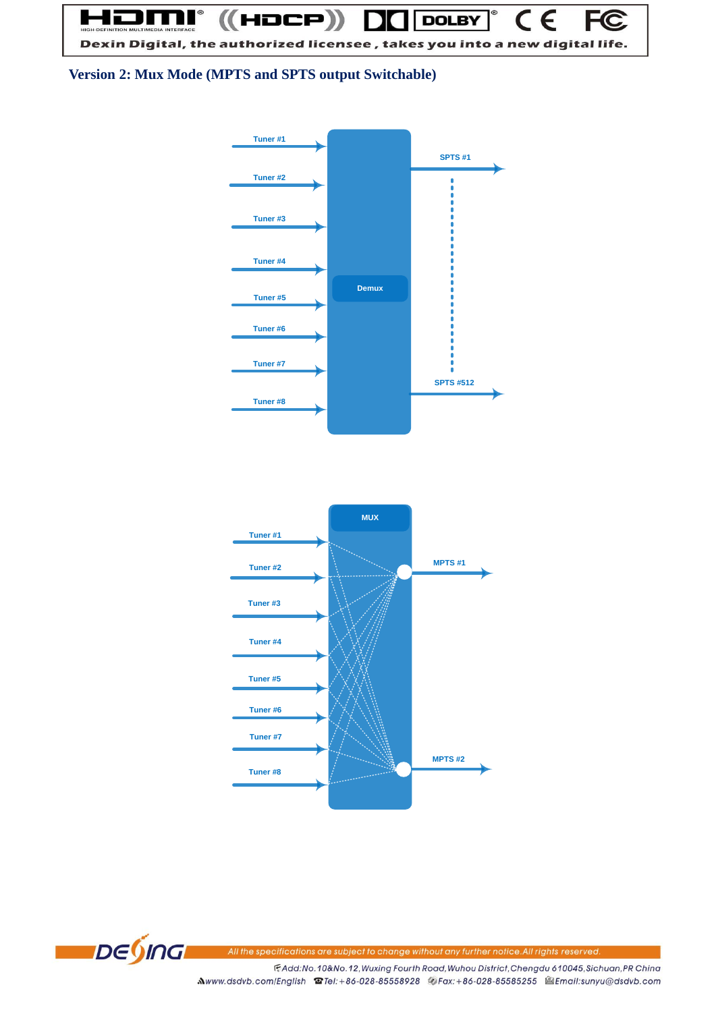$\overline{\mathsf{C}}$  $\in$ **FC**  $((HDCP))$ **DOLBY** Dexin Digital, the authorized licensee, takes you into a new digital life.

**Version 2: Mux Mode (MPTS and SPTS output Switchable)**







All the specifications are subject to change without any further notice. All rights reserved.

FAdd:No.10&No.12, Wuxing Fourth Road, Wuhou District, Chengdu 610045, Sichuan, PR China Mwww.dsdvb.com/English @Tel:+86-028-85558928 @Fax:+86-028-85585255 @Email:sunyu@dsdvb.com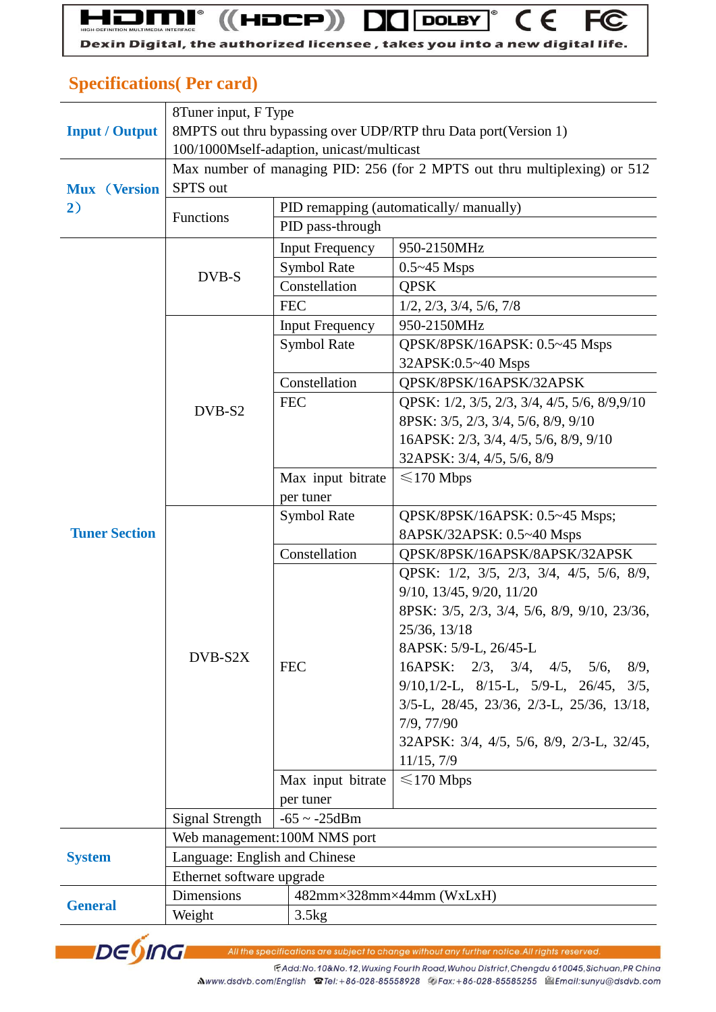### **Specifications( Per card)**

|                       | 8Tuner input, F Type                                                      |                                        |                                                           |  |  |
|-----------------------|---------------------------------------------------------------------------|----------------------------------------|-----------------------------------------------------------|--|--|
| <b>Input / Output</b> | 8MPTS out thru bypassing over UDP/RTP thru Data port(Version 1)           |                                        |                                                           |  |  |
|                       | 100/1000Mself-adaption, unicast/multicast                                 |                                        |                                                           |  |  |
|                       | Max number of managing PID: 256 (for 2 MPTS out thru multiplexing) or 512 |                                        |                                                           |  |  |
| <b>Mux</b> (Version   | SPTS out                                                                  |                                        |                                                           |  |  |
| 2)                    | Functions                                                                 | PID remapping (automatically/manually) |                                                           |  |  |
|                       |                                                                           | PID pass-through                       |                                                           |  |  |
|                       | DVB-S                                                                     | <b>Input Frequency</b>                 | 950-2150MHz                                               |  |  |
|                       |                                                                           | <b>Symbol Rate</b>                     | $0.5 - 45$ Msps                                           |  |  |
|                       |                                                                           | Constellation                          | <b>QPSK</b>                                               |  |  |
|                       |                                                                           | <b>FEC</b>                             | $1/2$ , $2/3$ , $3/4$ , $5/6$ , $7/8$                     |  |  |
|                       | DVB-S2                                                                    | <b>Input Frequency</b>                 | 950-2150MHz                                               |  |  |
|                       |                                                                           | <b>Symbol Rate</b>                     | QPSK/8PSK/16APSK: 0.5~45 Msps                             |  |  |
|                       |                                                                           |                                        | 32APSK:0.5~40 Msps                                        |  |  |
|                       |                                                                           | Constellation                          | QPSK/8PSK/16APSK/32APSK                                   |  |  |
|                       |                                                                           | <b>FEC</b>                             | QPSK: 1/2, 3/5, 2/3, 3/4, 4/5, 5/6, 8/9,9/10              |  |  |
|                       |                                                                           |                                        | 8PSK: 3/5, 2/3, 3/4, 5/6, 8/9, 9/10                       |  |  |
|                       |                                                                           |                                        | 16APSK: 2/3, 3/4, 4/5, 5/6, 8/9, 9/10                     |  |  |
|                       |                                                                           |                                        | 32APSK: 3/4, 4/5, 5/6, 8/9                                |  |  |
|                       |                                                                           | Max input bitrate                      | $\leq$ 170 Mbps                                           |  |  |
|                       |                                                                           | per tuner                              |                                                           |  |  |
|                       |                                                                           | <b>Symbol Rate</b>                     | QPSK/8PSK/16APSK: 0.5~45 Msps;                            |  |  |
| <b>Tuner Section</b>  |                                                                           |                                        | 8APSK/32APSK: 0.5~40 Msps                                 |  |  |
|                       |                                                                           | Constellation                          | QPSK/8PSK/16APSK/8APSK/32APSK                             |  |  |
|                       |                                                                           |                                        | QPSK: 1/2, 3/5, 2/3, 3/4, 4/5, 5/6, 8/9,                  |  |  |
|                       | DVB-S2X                                                                   |                                        | 9/10, 13/45, 9/20, 11/20                                  |  |  |
|                       |                                                                           |                                        | 8PSK: 3/5, 2/3, 3/4, 5/6, 8/9, 9/10, 23/36,               |  |  |
|                       |                                                                           |                                        | 25/36, 13/18                                              |  |  |
|                       |                                                                           |                                        | 8APSK: 5/9-L, 26/45-L                                     |  |  |
|                       |                                                                           | <b>FEC</b>                             | 16APSK: $2/3$ , $3/4$ ,<br>4/5, 5/6,<br>8/9,              |  |  |
|                       |                                                                           |                                        | $9/10$ , $1/2$ -L, $8/15$ -L, $5/9$ -L, $26/45$ , $3/5$ , |  |  |
|                       |                                                                           |                                        | 3/5-L, 28/45, 23/36, 2/3-L, 25/36, 13/18,                 |  |  |
|                       |                                                                           |                                        | 7/9, 77/90                                                |  |  |
|                       |                                                                           |                                        | 32APSK: 3/4, 4/5, 5/6, 8/9, 2/3-L, 32/45,                 |  |  |
|                       |                                                                           |                                        | 11/15, 7/9                                                |  |  |
|                       |                                                                           | Max input bitrate                      | $\leq$ 170 Mbps                                           |  |  |
|                       |                                                                           | per tuner                              |                                                           |  |  |
|                       | Signal Strength                                                           | $-65 \sim -25$ dBm                     |                                                           |  |  |
|                       | Web management: 100M NMS port                                             |                                        |                                                           |  |  |
| <b>System</b>         | Language: English and Chinese                                             |                                        |                                                           |  |  |
|                       | Ethernet software upgrade                                                 |                                        |                                                           |  |  |
| <b>General</b>        | Dimensions                                                                |                                        | $482$ mm×328mm×44mm (WxLxH)                               |  |  |
|                       | Weight                                                                    | 3.5kg                                  |                                                           |  |  |



All the specifications are subject to change without any further notice. All rights reserved.

F.Add:No.10&No.12, Wuxing Fourth Road, Wuhou District, Chengdu 610045, Sichuan, PR China Mwww.dsdvb.com/English <br> **Mwww.dsdvb.com/English <br>
Set English Company Set 28-85558928** <br>
Cax: +86-028-8585255 <br>
Set Email:sunyu@dsdvb.com